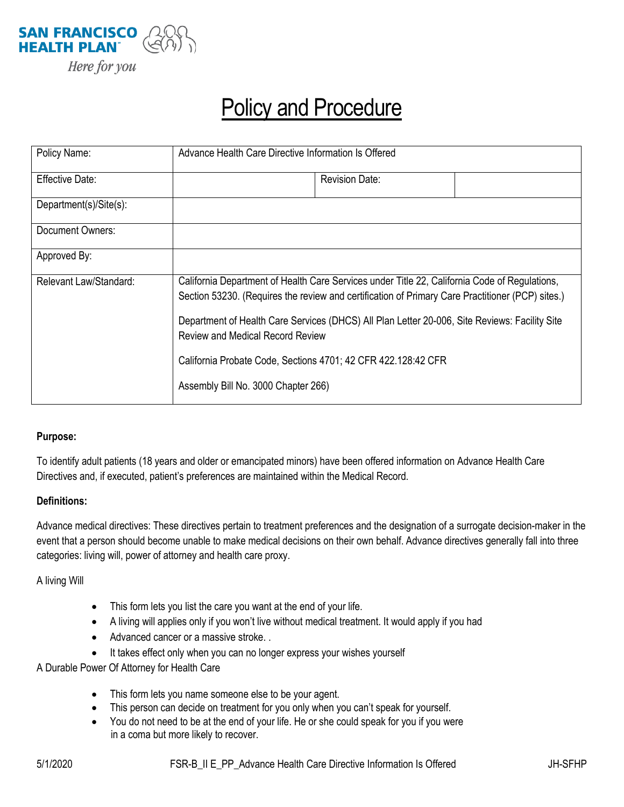

# Policy and Procedure

| Policy Name:           | Advance Health Care Directive Information Is Offered                                                                                                                                              |                       |  |
|------------------------|---------------------------------------------------------------------------------------------------------------------------------------------------------------------------------------------------|-----------------------|--|
| Effective Date:        |                                                                                                                                                                                                   | <b>Revision Date:</b> |  |
| Department(s)/Site(s): |                                                                                                                                                                                                   |                       |  |
| Document Owners:       |                                                                                                                                                                                                   |                       |  |
| Approved By:           |                                                                                                                                                                                                   |                       |  |
| Relevant Law/Standard: | California Department of Health Care Services under Title 22, California Code of Regulations,<br>Section 53230. (Requires the review and certification of Primary Care Practitioner (PCP) sites.) |                       |  |
|                        | Department of Health Care Services (DHCS) All Plan Letter 20-006, Site Reviews: Facility Site<br><b>Review and Medical Record Review</b>                                                          |                       |  |
|                        | California Probate Code, Sections 4701; 42 CFR 422.128:42 CFR                                                                                                                                     |                       |  |
|                        | Assembly Bill No. 3000 Chapter 266)                                                                                                                                                               |                       |  |

#### **Purpose:**

To identify adult patients (18 years and older or emancipated minors) have been offered information on Advance Health Care Directives and, if executed, patient's preferences are maintained within the Medical Record.

#### **Definitions:**

Advance medical directives: These directives pertain to treatment preferences and the designation of a surrogate decision-maker in the event that a person should become unable to make medical decisions on their own behalf. Advance directives generally fall into three categories: living will, power of attorney and health care proxy.

A living Will

- This form lets you list the care you want at the end of your life.
- A living will applies only if you won't live without medical treatment. It would apply if you had
- Advanced cancer or a massive stroke. .
- It takes effect only when you can no longer express your wishes yourself

A Durable Power Of Attorney for Health Care

- This form lets you name someone else to be your agent.
- This person can decide on treatment for you only when you can't speak for yourself.
- You do not need to be at the end of your life. He or she could speak for you if you were in a coma but more likely to recover.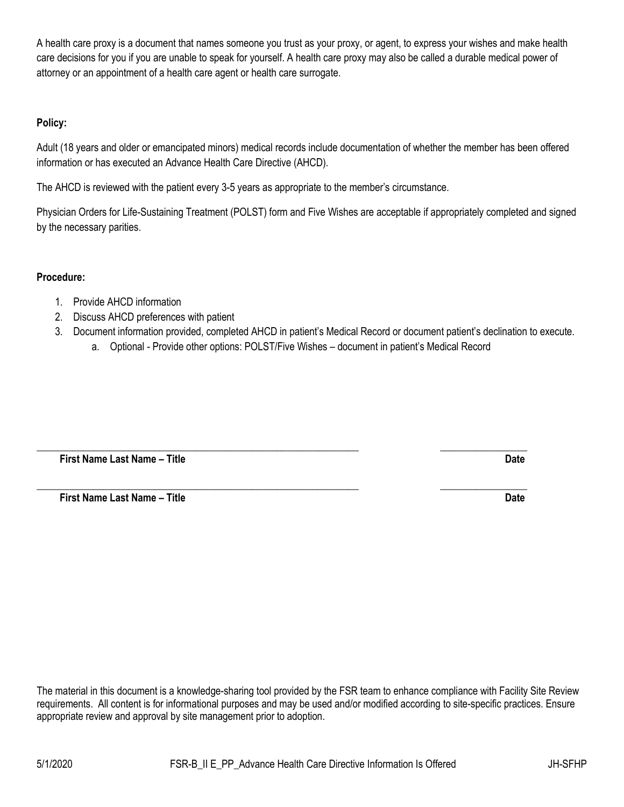A health care proxy is a document that names someone you trust as your proxy, or agent, to express your wishes and make health care decisions for you if you are unable to speak for yourself. A health care proxy may also be called a durable medical power of attorney or an appointment of a health care agent or health care surrogate.

## **Policy:**

Adult (18 years and older or emancipated minors) medical records include documentation of whether the member has been offered information or has executed an Advance Health Care Directive (AHCD).

The AHCD is reviewed with the patient every 3-5 years as appropriate to the member's circumstance.

Physician Orders for Life-Sustaining Treatment (POLST) form and Five Wishes are acceptable if appropriately completed and signed by the necessary parities.

### **Procedure:**

- 1. Provide AHCD information
- 2. Discuss AHCD preferences with patient
- 3. Document information provided, completed AHCD in patient's Medical Record or document patient's declination to execute.
	- a. Optional Provide other options: POLST/Five Wishes document in patient's Medical Record

**\_\_\_\_\_\_\_\_\_\_\_\_\_\_\_\_\_\_\_\_\_\_\_\_\_\_\_\_\_\_\_\_\_\_\_\_\_\_\_\_\_\_\_\_\_\_\_\_\_\_\_\_\_\_\_\_\_\_\_\_\_\_\_ \_\_\_\_\_\_\_\_\_\_\_\_\_\_\_\_\_**

**\_\_\_\_\_\_\_\_\_\_\_\_\_\_\_\_\_\_\_\_\_\_\_\_\_\_\_\_\_\_\_\_\_\_\_\_\_\_\_\_\_\_\_\_\_\_\_\_\_\_\_\_\_\_\_\_\_\_\_\_\_\_\_ \_\_\_\_\_\_\_\_\_\_\_\_\_\_\_\_\_**

 **First Name Last Name – Title Date**

 **First Name Last Name – Title Date**

The material in this document is a knowledge-sharing tool provided by the FSR team to enhance compliance with Facility Site Review requirements. All content is for informational purposes and may be used and/or modified according to site-specific practices. Ensure appropriate review and approval by site management prior to adoption.